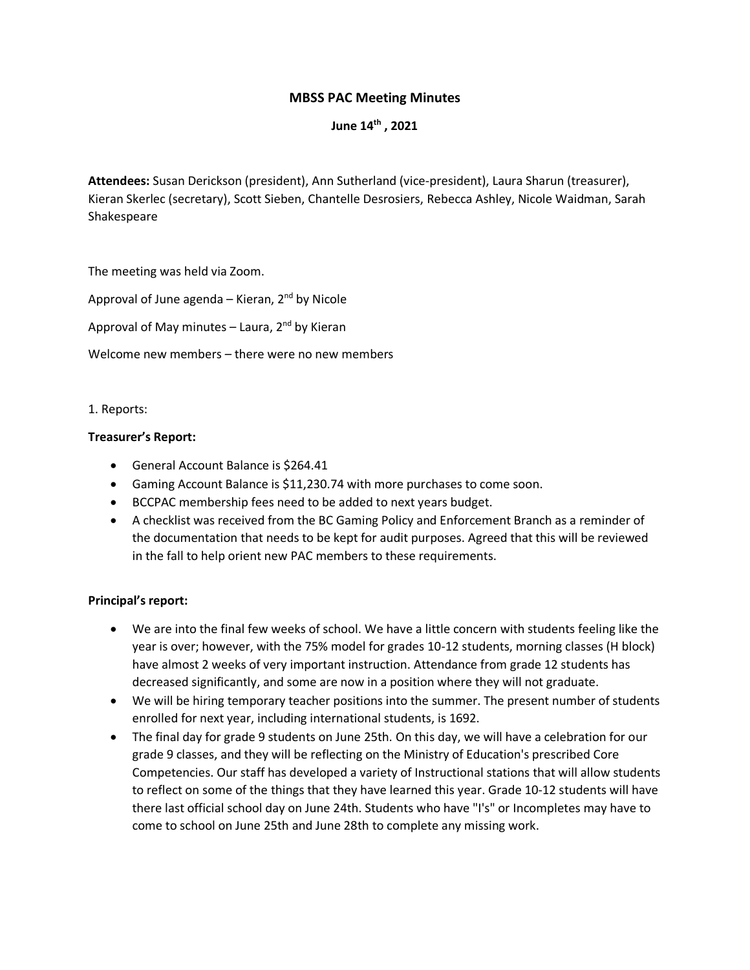## **MBSS PAC Meeting Minutes**

# **June 14th , 2021**

**Attendees:** Susan Derickson (president), Ann Sutherland (vice-president), Laura Sharun (treasurer), Kieran Skerlec (secretary), Scott Sieben, Chantelle Desrosiers, Rebecca Ashley, Nicole Waidman, Sarah Shakespeare

The meeting was held via Zoom.

Approval of June agenda – Kieran,  $2^{nd}$  by Nicole

Approval of May minutes – Laura,  $2<sup>nd</sup>$  by Kieran

Welcome new members – there were no new members

#### 1. Reports:

#### **Treasurer's Report:**

- General Account Balance is \$264.41
- Gaming Account Balance is \$11,230.74 with more purchases to come soon.
- BCCPAC membership fees need to be added to next years budget.
- A checklist was received from the BC Gaming Policy and Enforcement Branch as a reminder of the documentation that needs to be kept for audit purposes. Agreed that this will be reviewed in the fall to help orient new PAC members to these requirements.

## **Principal's report:**

- We are into the final few weeks of school. We have a little concern with students feeling like the year is over; however, with the 75% model for grades 10-12 students, morning classes (H block) have almost 2 weeks of very important instruction. Attendance from grade 12 students has decreased significantly, and some are now in a position where they will not graduate.
- We will be hiring temporary teacher positions into the summer. The present number of students enrolled for next year, including international students, is 1692.
- The final day for grade 9 students on June 25th. On this day, we will have a celebration for our grade 9 classes, and they will be reflecting on the Ministry of Education's prescribed Core Competencies. Our staff has developed a variety of Instructional stations that will allow students to reflect on some of the things that they have learned this year. Grade 10-12 students will have there last official school day on June 24th. Students who have "I's" or Incompletes may have to come to school on June 25th and June 28th to complete any missing work.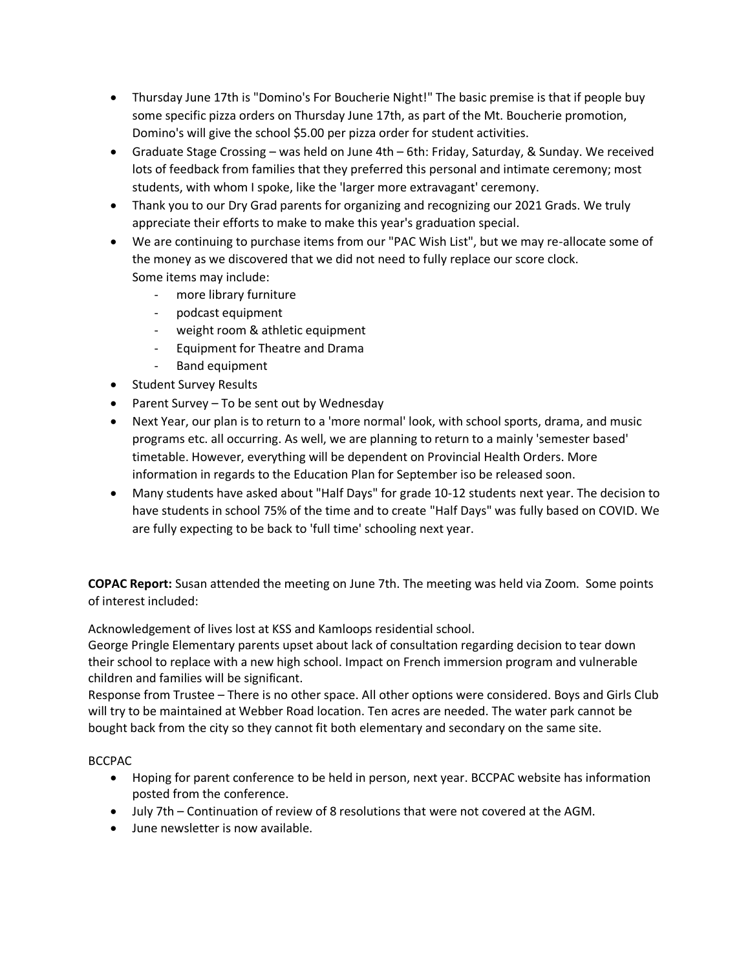- Thursday June 17th is "Domino's For Boucherie Night!" The basic premise is that if people buy some specific pizza orders on Thursday June 17th, as part of the Mt. Boucherie promotion, Domino's will give the school \$5.00 per pizza order for student activities.
- Graduate Stage Crossing was held on June 4th 6th: Friday, Saturday, & Sunday. We received lots of feedback from families that they preferred this personal and intimate ceremony; most students, with whom I spoke, like the 'larger more extravagant' ceremony.
- Thank you to our Dry Grad parents for organizing and recognizing our 2021 Grads. We truly appreciate their efforts to make to make this year's graduation special.
- We are continuing to purchase items from our "PAC Wish List", but we may re-allocate some of the money as we discovered that we did not need to fully replace our score clock. Some items may include:
	- more library furniture
	- podcast equipment
	- weight room & athletic equipment
	- Equipment for Theatre and Drama
	- Band equipment
- Student Survey Results
- Parent Survey To be sent out by Wednesday
- Next Year, our plan is to return to a 'more normal' look, with school sports, drama, and music programs etc. all occurring. As well, we are planning to return to a mainly 'semester based' timetable. However, everything will be dependent on Provincial Health Orders. More information in regards to the Education Plan for September iso be released soon.
- Many students have asked about "Half Days" for grade 10-12 students next year. The decision to have students in school 75% of the time and to create "Half Days" was fully based on COVID. We are fully expecting to be back to 'full time' schooling next year.

**COPAC Report:** Susan attended the meeting on June 7th. The meeting was held via Zoom. Some points of interest included:

Acknowledgement of lives lost at KSS and Kamloops residential school.

George Pringle Elementary parents upset about lack of consultation regarding decision to tear down their school to replace with a new high school. Impact on French immersion program and vulnerable children and families will be significant.

Response from Trustee – There is no other space. All other options were considered. Boys and Girls Club will try to be maintained at Webber Road location. Ten acres are needed. The water park cannot be bought back from the city so they cannot fit both elementary and secondary on the same site.

# BCCPAC

- Hoping for parent conference to be held in person, next year. BCCPAC website has information posted from the conference.
- July 7th Continuation of review of 8 resolutions that were not covered at the AGM.
- June newsletter is now available.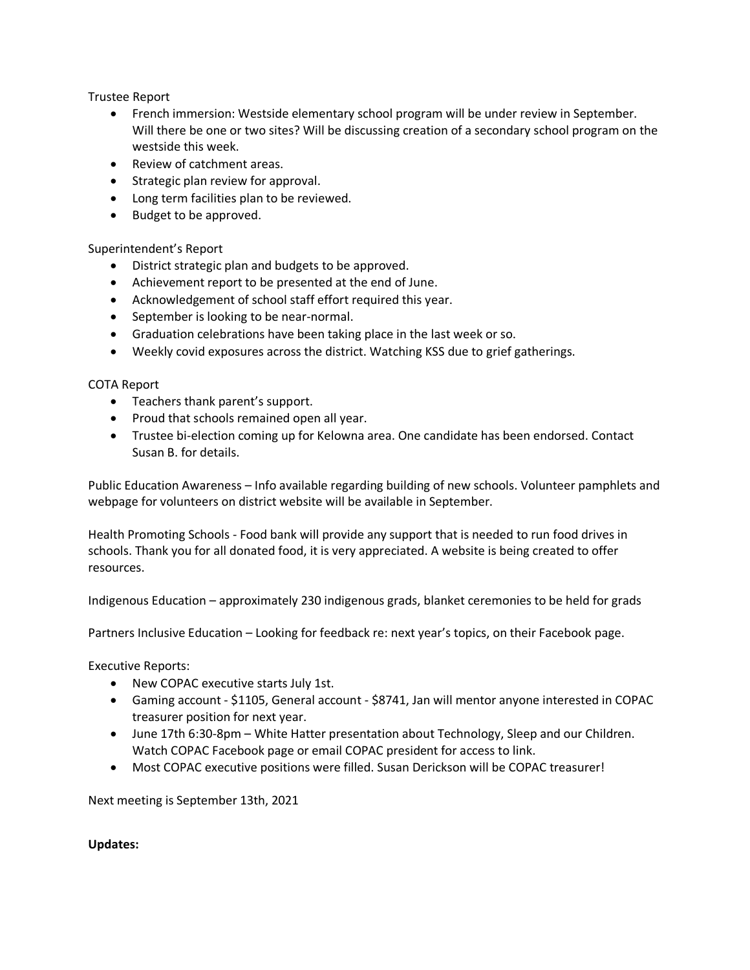Trustee Report

- French immersion: Westside elementary school program will be under review in September. Will there be one or two sites? Will be discussing creation of a secondary school program on the westside this week.
- Review of catchment areas.
- Strategic plan review for approval.
- Long term facilities plan to be reviewed.
- Budget to be approved.

Superintendent's Report

- District strategic plan and budgets to be approved.
- Achievement report to be presented at the end of June.
- Acknowledgement of school staff effort required this year.
- September is looking to be near-normal.
- Graduation celebrations have been taking place in the last week or so.
- Weekly covid exposures across the district. Watching KSS due to grief gatherings.

## COTA Report

- Teachers thank parent's support.
- Proud that schools remained open all year.
- Trustee bi-election coming up for Kelowna area. One candidate has been endorsed. Contact Susan B. for details.

Public Education Awareness – Info available regarding building of new schools. Volunteer pamphlets and webpage for volunteers on district website will be available in September.

Health Promoting Schools - Food bank will provide any support that is needed to run food drives in schools. Thank you for all donated food, it is very appreciated. A website is being created to offer resources.

Indigenous Education – approximately 230 indigenous grads, blanket ceremonies to be held for grads

Partners Inclusive Education – Looking for feedback re: next year's topics, on their Facebook page.

Executive Reports:

- New COPAC executive starts July 1st.
- Gaming account \$1105, General account \$8741, Jan will mentor anyone interested in COPAC treasurer position for next year.
- June 17th 6:30-8pm White Hatter presentation about Technology, Sleep and our Children. Watch COPAC Facebook page or email COPAC president for access to link.
- Most COPAC executive positions were filled. Susan Derickson will be COPAC treasurer!

Next meeting is September 13th, 2021

## **Updates:**